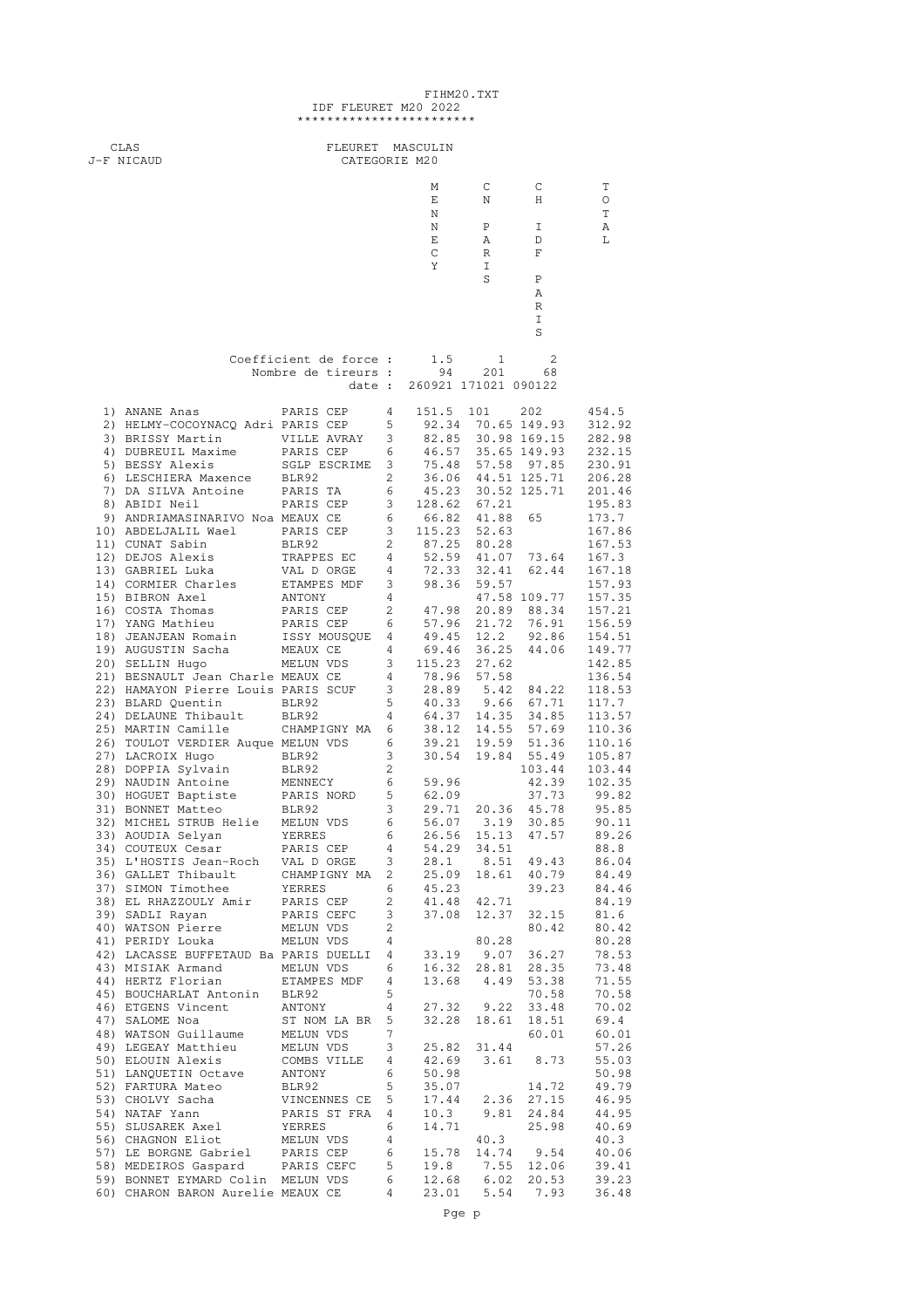|  |                          | FIHM20.TXT |
|--|--------------------------|------------|
|  | IDF FLEURET M20 2022     |            |
|  | ************************ |            |

| CLAS<br>J-F NICAUD                                                  | FLEURET MASCULIN<br>CATEGORIE M20 |                     |                                                                     |                   |                             |                  |  |
|---------------------------------------------------------------------|-----------------------------------|---------------------|---------------------------------------------------------------------|-------------------|-----------------------------|------------------|--|
|                                                                     |                                   |                     |                                                                     |                   |                             |                  |  |
|                                                                     |                                   |                     | М<br>Е                                                              | $\mathbb{C}$<br>N | C<br>H                      | Т<br>O           |  |
|                                                                     |                                   |                     | Ν                                                                   |                   |                             | T                |  |
|                                                                     |                                   |                     | Ν<br>Е                                                              | Ρ<br>Α            | I<br>D                      | Α<br>L           |  |
|                                                                     |                                   |                     | C                                                                   | R                 | F                           |                  |  |
|                                                                     |                                   |                     | Υ                                                                   | I<br>S            | Ρ                           |                  |  |
|                                                                     |                                   |                     |                                                                     |                   | Α                           |                  |  |
|                                                                     |                                   |                     |                                                                     |                   | R<br>I                      |                  |  |
|                                                                     |                                   |                     |                                                                     |                   | S                           |                  |  |
|                                                                     | Coefficient de force :            |                     | 1.5                                                                 | 1                 | 2                           |                  |  |
|                                                                     | Nombre de tireurs :               |                     | 94                                                                  | 201               | 68                          |                  |  |
|                                                                     | date :                            |                     | 260921 171021 090122                                                |                   |                             |                  |  |
| 1) ANANE Anas                                                       | PARIS CEP                         | 4                   | 151.5 101                                                           |                   | 202                         | 454.5            |  |
| 2) HELMY-COCOYNACQ Adri PARIS CEP<br>3) BRISSY Martin VILLE AVRAY 3 |                                   | 5                   | 82.85 30.98 169.15                                                  |                   | 92.34 70.65 149.93          | 312.92<br>282.98 |  |
| 4) DUBREUIL Maxime                                                  | PARIS CEP 6                       |                     |                                                                     |                   | 46.57 35.65 149.93          | 232.15           |  |
| 5) BESSY Alexis<br>6) LESCHIERA Maxence BLR92                       | SGLP ESCRIME 3<br>$\sim$ 2        |                     | 75.48 57.58 97.85<br>36.06 44.51 125.71                             |                   |                             | 230.91<br>206.28 |  |
| 7) DA SILVA Antoine PARIS TA                                        |                                   | 6                   | 45.23 30.52 125.71                                                  |                   |                             | 201.46           |  |
| 8) ABIDI Neil                                                       | PARIS CEP                         | 3                   | 128.62 67.21                                                        |                   |                             | 195.83           |  |
| 9) ANDRIAMASINARIVO Noa MEAUX CE<br>10) ABDELJALIL Wael PARIS CEP   |                                   | 6<br>$\mathbf{3}$   | 66.82 41.88                                                         | 115.23 52.63      | 65                          | 173.7<br>167.86  |  |
| 11) CUNAT Sabin                                                     | BLR92                             | 2                   | 87.25 80.28                                                         |                   |                             | 167.53           |  |
| 12) DEJOS Alexis<br>13) GABRIEL Luka                                | TRAPPES EC<br>VAL D ORGE          | 4<br>$\overline{4}$ | 52.59 41.07<br>72.33 32.41                                          |                   | 73.64<br>62.44              | 167.3<br>167.18  |  |
| 14) CORMIER Charles                                                 | ETAMPES MDF 3                     |                     | 98.36                                                               | 59.57             |                             | 157.93           |  |
| 15) BIBRON Axel                                                     | ANTONY<br>PARIS CEP               | 4<br>2              | 47.98                                                               |                   | 47.58 109.77<br>20.89 88.34 | 157.35<br>157.21 |  |
| 16) COSTA Thomas<br>17) YANG Mathieu                                | PARIS CEP                         | 6                   |                                                                     | 57.96 21.72       | 76.91<br>92.86              | 156.59           |  |
| 18) JEANJEAN Romain                                                 | ISSY MOUSQUE 4                    |                     | 49.45 12.2                                                          |                   |                             | 154.51           |  |
| 19) AUGUSTIN Sacha<br>20) SELLIN Hugo                               | MEAUX CE<br>MELUN VDS             | 4<br>3              | 69.46<br>115.23                                                     | 36.25<br>27.62    | 44.06                       | 149.77<br>142.85 |  |
| 21) BESNAULT Jean Charle MEAUX CE                                   |                                   | 4                   |                                                                     | 78.96 57.58       |                             | 136.54           |  |
| 22) HAMAYON Pierre Louis PARIS SCUF<br>23) BLARD Quentin            | BLR92                             |                     | $3$ $28.89$<br>5 $40.33$                                            | 5.42<br>9.66      | 84.22<br>67.71              | 118.53<br>117.7  |  |
| 24) DELAUNE Thibault                                                | BLR92                             |                     | 4 64.37 14.35<br>6 38.12 14.55<br>6 39.21 19.59<br>3 30.54 19.84    |                   | 34.85                       | 113.57           |  |
| 25) MARTIN Camille<br>26) TOULOT VERDIER Auque MELUN VDS            | CHAMPIGNY MA 6                    |                     |                                                                     |                   | 57.69<br>51.36              | 110.36<br>110.16 |  |
| 27) LACROIX Hugo                                                    | BLR92                             |                     |                                                                     |                   | 55.49                       | 105.87           |  |
| 28) DOPPIA Sylvain<br>29) NAUDIN Antoine                            | BLR92<br>MENNECY                  | 2                   |                                                                     |                   | 103.44<br>42.39             | 103.44<br>102.35 |  |
| 30) HOGUET Baptiste                                                 | PARIS NORD                        |                     | $\begin{array}{cc} 6 & 59.96 \\ 5 & 62.09 \\ 3 & 29.71 \end{array}$ |                   | 37.73                       | 99.82            |  |
| 31) BONNET Matteo BLR92<br>32) MICHEL STRUB Helie MELUN VDS         |                                   | 6                   | 56.07                                                               | 3.19              | 20.36 45.78<br>30.85        | 95.85<br>90.11   |  |
| 33) AOUDIA Selyan                                                   | YERRES                            | 6                   | 26.56                                                               | 15.13             | 47.57                       | 89.26            |  |
| 34) COUTEUX Cesar<br>35) L'HOSTIS Jean-Roch VAL DORGE               | PARIS CEP                         | 4<br>$\mathbf{3}$   | 54.29<br>28.1                                                       | 34.51             | 8.51 49.43                  | 88.8<br>86.04    |  |
| 36) GALLET Thibault                                                 | CHAMPIGNY MA 2                    |                     |                                                                     | 25.09 18.61       | 40.79                       | 84.49            |  |
| 37) SIMON Timothee                                                  | YERRES                            | 6                   | 45.23                                                               |                   | 39.23                       | 84.46            |  |
| 38) EL RHAZZOULY Amir<br>39) SADLI Rayan                            | PARIS CEP<br>PARIS CEFC           | 2<br>3              | 41.48<br>37.08                                                      | 42.71<br>12.37    | 32.15                       | 84.19<br>81.6    |  |
| 40) WATSON Pierre                                                   | MELUN VDS                         | 2                   |                                                                     |                   | 80.42                       | 80.42            |  |
| 41) PERIDY Louka<br>42) LACASSE BUFFETAUD Ba PARIS DUELLI 4         | MELUN VDS                         | 4                   | 33.19                                                               | 80.28<br>9.07     | 36.27                       | 80.28<br>78.53   |  |
| 43) MISIAK Armand                                                   | MELUN VDS                         | 6                   | 16.32                                                               | 28.81             | 28.35                       | 73.48            |  |
| 44) HERTZ Florian<br>45) BOUCHARLAT Antonin BLR92                   | ETAMPES MDF                       | $\overline{4}$<br>5 | 13.68                                                               | 4.49              | 53.38<br>70.58              | 71.55<br>70.58   |  |
| 46) ETGENS Vincent                                                  | ANTONY                            | $\overline{4}$      | 27.32                                                               | 9.22              | 33.48                       | 70.02            |  |
| 47) SALOME Noa<br>48) WATSON Guillaume                              | ST NOM LA BR 5<br>MELUN VDS       | 7                   | 32.28                                                               | 18.61             | 18.51<br>60.01              | 69.4<br>60.01    |  |
| 49) LEGEAY Matthieu                                                 | MELUN VDS                         | 3                   | 25.82                                                               | 31.44             |                             | 57.26            |  |
| 50) ELOUIN Alexis<br>51) LANQUETIN Octave                           | COMBS VILLE<br>ANTONY             | 4<br>6              | 42.69<br>50.98                                                      | 3.61              | 8.73                        | 55.03<br>50.98   |  |
| 52) FARTURA Mateo                                                   | BLR92                             | 5                   | 35.07                                                               |                   | 14.72                       | 49.79            |  |
| 53) CHOLVY Sacha<br>54) NATAF Yann                                  | VINCENNES CE                      | 5                   | 17.44<br>10.3                                                       | 2.36<br>9.81      | 27.15<br>24.84              | 46.95<br>44.95   |  |
| 55) SLUSAREK Axel                                                   | PARIS ST FRA 4<br>YERRES          | 6                   | 14.71                                                               |                   | 25.98                       | 40.69            |  |
| 56) CHAGNON Eliot                                                   | MELUN VDS                         | 4                   |                                                                     | 40.3              |                             | 40.3             |  |
| 57) LE BORGNE Gabriel PARIS CEP<br>58) MEDEIROS Gaspard PARIS CEFC  |                                   | 6<br>5              | 15.78<br>19.8                                                       | 7.55              | 14.74 9.54<br>12.06         | 40.06<br>39.41   |  |
| 59) BONNET EYMARD Colin MELUN VDS                                   |                                   | 6                   | 12.68                                                               | 6.02              | 20.53                       | 39.23            |  |
| 60) CHARON BARON Aurelie MEAUX CE                                   |                                   | $\overline{4}$      | 23.01                                                               | 5.54              | 7.93                        | 36.48            |  |